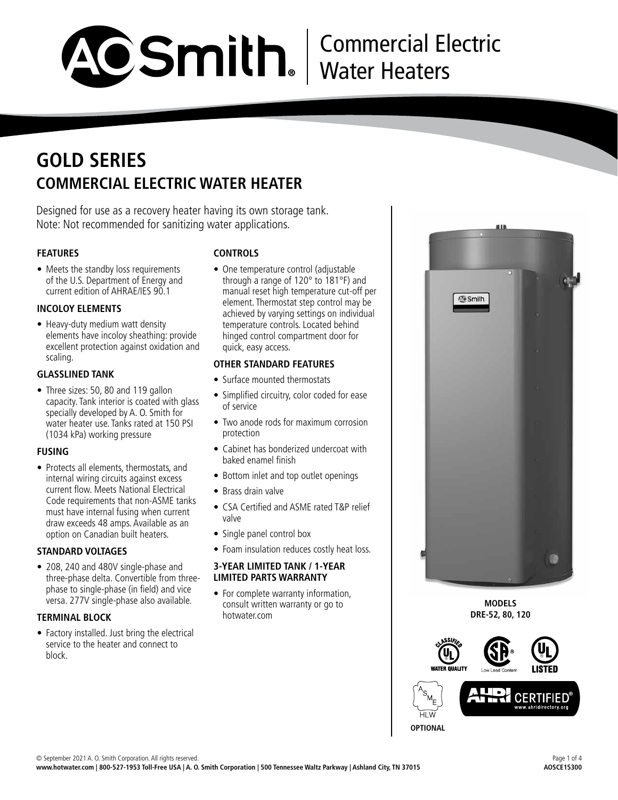

# **GOLD SERIES COMMERCIAL ELECTRIC WATER HEATER**

Designed for use as a recovery heater having its own storage tank. Note: Not recommended for sanitizing water applications.

# **FEATURES**

• Meets the standby loss requirements of the U.S. Department of Energy and current edition of AHRAE/IES 90.1

# **INCOLOY ELEMENTS**

• Heavy-duty medium watt density elements have incoloy sheathing: provide excellent protection against oxidation and scaling.

# **GLASSLINED TANK**

• Three sizes: 50, 80 and 119 gallon capacity. Tank interior is coated with glass specially developed by A. O. Smith for water heater use. Tanks rated at 150 PSI (1034 kPa) working pressure

# **FUSING**

• Protects all elements, thermostats, and internal wiring circuits against excess current flow. Meets National Electrical Code requirements that non-ASME tanks must have internal fusing when current draw exceeds 48 amps. Available as an option on Canadian built heaters.

# **STANDARD VOLTAGES**

• 208, 240 and 480V single-phase and three-phase delta. Convertible from threephase to single-phase (in field) and vice versa. 277V single-phase also available.

# **TERMINAL BLOCK**

• Factory installed. Just bring the electrical service to the heater and connect to block.

# **CONTROLS**

• One temperature control (adjustable through a range of 120° to 181°F) and manual reset high temperature cut-off per element. Thermostat step control may be achieved by varying settings on individual temperature controls. Located behind hinged control compartment door for quick, easy access.

#### **OTHER STANDARD FEATURES**

- Surface mounted thermostats
- Simplified circuitry, color coded for ease of service
- Two anode rods for maximum corrosion protection
- Cabinet has bonderized undercoat with baked enamel finish
- Bottom inlet and top outlet openings
- Brass drain valve
- CSA Certified and ASME rated T&P relief valve
- Single panel control box
- Foam insulation reduces costly heat loss.

#### **3-YEAR LIMITED TANK / 1-YEAR LIMITED PARTS WARRANTY**

• For complete warranty information, consult written warranty or go to hotwater.com



**MODELS DRE-52, 80, 120**



**OPTIONAL**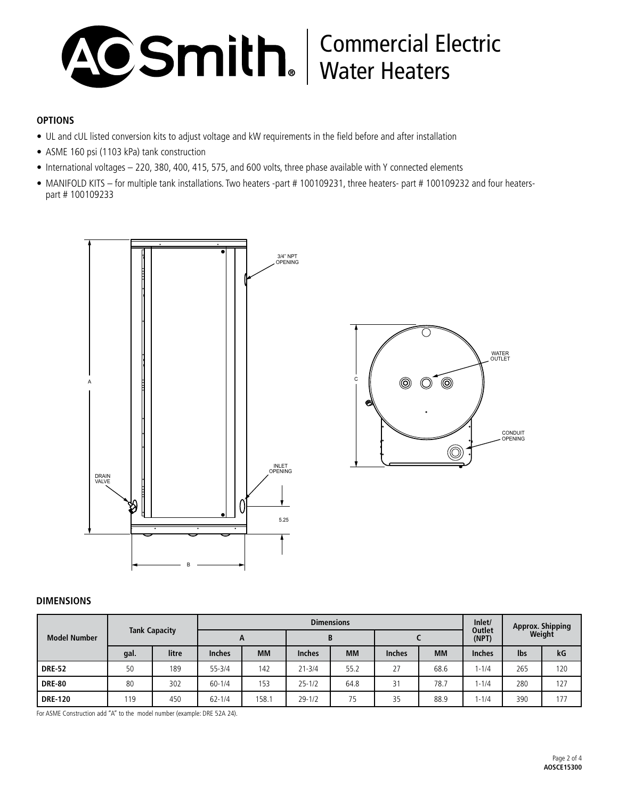

# **OPTIONS**

- UL and cUL listed conversion kits to adjust voltage and kW requirements in the field before and after installation C
- ASME 160 psi (1103 kPa) tank construction
- International voltages 220, 380, 400, 415, 575, and 600 volts, three phase available with Y connected elements
- MANIFOLD KITS for multiple tank installations. Two heaters -part # 100109231, three heaters- part # 100109232 and four heaterspart # 100109233



#### **DIMENSIONS**

| <b>Model Number</b> | <b>Tank Capacity</b> |       |               |           | Inlet/        |           |               |           |                        |                            |     |
|---------------------|----------------------|-------|---------------|-----------|---------------|-----------|---------------|-----------|------------------------|----------------------------|-----|
|                     |                      |       | A             |           | В             |           |               |           | <b>Outlet</b><br>(NPT) | Approx. Shipping<br>Weight |     |
|                     | gal.                 | litre | <b>Inches</b> | <b>MM</b> | <b>Inches</b> | <b>MM</b> | <b>Inches</b> | <b>MM</b> | <b>Inches</b>          | <b>lbs</b>                 | kG  |
| <b>DRE-52</b>       | 50                   | 189   | $55 - 3/4$    | 142       | $21 - 3/4$    | 55.2      | 27            | 68.6      | $1 - 1/4$              | 265                        | 120 |
| <b>DRE-80</b>       | 80                   | 302   | $60 - 1/4$    | 153       | $25 - 1/2$    | 64.8      | 31            | 78.7      | $1 - 1/4$              | 280                        | 127 |
| <b>DRE-120</b>      | 119                  | 450   | $62 - 1/4$    | 158.1     | $29 - 1/2$    | 75        | 35            | 88.9      | $1 - 1/4$              | 390                        | 177 |

For ASME Construction add "A" to the model number (example: DRE 52A 24).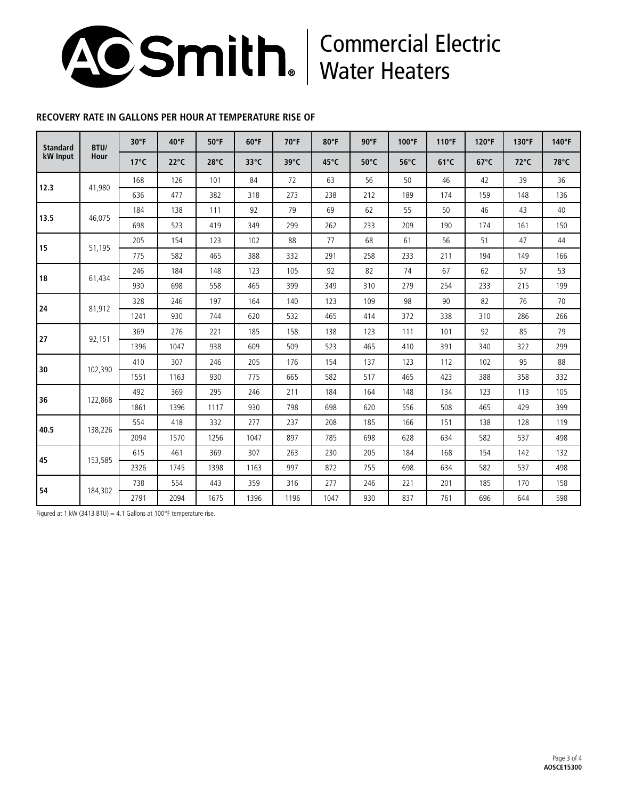

# **RECOVERY RATE IN GALLONS PER HOUR AT TEMPERATURE RISE OF**

| <b>Standard</b><br>kW Input | BTU/<br>Hour | $30^{\circ}$ F | $40^{\circ}$ F | $50^{\circ}$ F | $60^{\circ}$ F | $70^{\circ}$ F | 80°F           | $90^{\circ}$ F | $100^{\circ}$ F | $110^{\circ}F$ | $120^{\circ}F$ | $130^\circ F$  | 140°F |
|-----------------------------|--------------|----------------|----------------|----------------|----------------|----------------|----------------|----------------|-----------------|----------------|----------------|----------------|-------|
|                             |              | $17^{\circ}$ C | $22^{\circ}C$  | $28^{\circ}$ C | $33^{\circ}$ C | $39^{\circ}$ C | $45^{\circ}$ C | $50^{\circ}$ C | $56^{\circ}$ C  | $61^{\circ}$ C | $67^{\circ}$ C | $72^{\circ}$ C | 78°C  |
| 12.3                        | 41,980       | 168            | 126            | 101            | 84             | 72             | 63             | 56             | 50              | 46             | 42             | 39             | 36    |
|                             |              | 636            | 477            | 382            | 318            | 273            | 238            | 212            | 189             | 174            | 159            | 148            | 136   |
| 13.5                        | 46,075       | 184            | 138            | 111            | 92             | 79             | 69             | 62             | 55              | 50             | 46             | 43             | 40    |
|                             |              | 698            | 523            | 419            | 349            | 299            | 262            | 233            | 209             | 190            | 174            | 161            | 150   |
| 15                          | 51,195       | 205            | 154            | 123            | 102            | 88             | 77             | 68             | 61              | 56             | 51             | 47             | 44    |
|                             |              | 775            | 582            | 465            | 388            | 332            | 291            | 258            | 233             | 211            | 194            | 149            | 166   |
| 18                          | 61,434       | 246            | 184            | 148            | 123            | 105            | 92             | 82             | 74              | 67             | 62             | 57             | 53    |
|                             |              | 930            | 698            | 558            | 465            | 399            | 349            | 310            | 279             | 254            | 233            | 215            | 199   |
| 24                          | 81,912       | 328            | 246            | 197            | 164            | 140            | 123            | 109            | 98              | 90             | 82             | 76             | 70    |
|                             |              | 1241           | 930            | 744            | 620            | 532            | 465            | 414            | 372             | 338            | 310            | 286            | 266   |
| 27                          | 92,151       | 369            | 276            | 221            | 185            | 158            | 138            | 123            | 111             | 101            | 92             | 85             | 79    |
|                             |              | 1396           | 1047           | 938            | 609            | 509            | 523            | 465            | 410             | 391            | 340            | 322            | 299   |
| 30                          | 102,390      | 410            | 307            | 246            | 205            | 176            | 154            | 137            | 123             | 112            | 102            | 95             | 88    |
|                             |              | 1551           | 1163           | 930            | 775            | 665            | 582            | 517            | 465             | 423            | 388            | 358            | 332   |
| 36                          | 122,868      | 492            | 369            | 295            | 246            | 211            | 184            | 164            | 148             | 134            | 123            | 113            | 105   |
|                             |              | 1861           | 1396           | 1117           | 930            | 798            | 698            | 620            | 556             | 508            | 465            | 429            | 399   |
| 40.5                        | 138,226      | 554            | 418            | 332            | 277            | 237            | 208            | 185            | 166             | 151            | 138            | 128            | 119   |
|                             |              | 2094           | 1570           | 1256           | 1047           | 897            | 785            | 698            | 628             | 634            | 582            | 537            | 498   |
| 45                          | 153,585      | 615            | 461            | 369            | 307            | 263            | 230            | 205            | 184             | 168            | 154            | 142            | 132   |
|                             |              | 2326           | 1745           | 1398           | 1163           | 997            | 872            | 755            | 698             | 634            | 582            | 537            | 498   |
|                             |              | 738            | 554            | 443            | 359            | 316            | 277            | 246            | 221             | 201            | 185            | 170            | 158   |
| 54                          | 184,302      | 2791           | 2094           | 1675           | 1396           | 1196           | 1047           | 930            | 837             | 761            | 696            | 644            | 598   |

Figured at 1 kW (3413 BTU) = 4.1 Gallons at 100°F temperature rise.